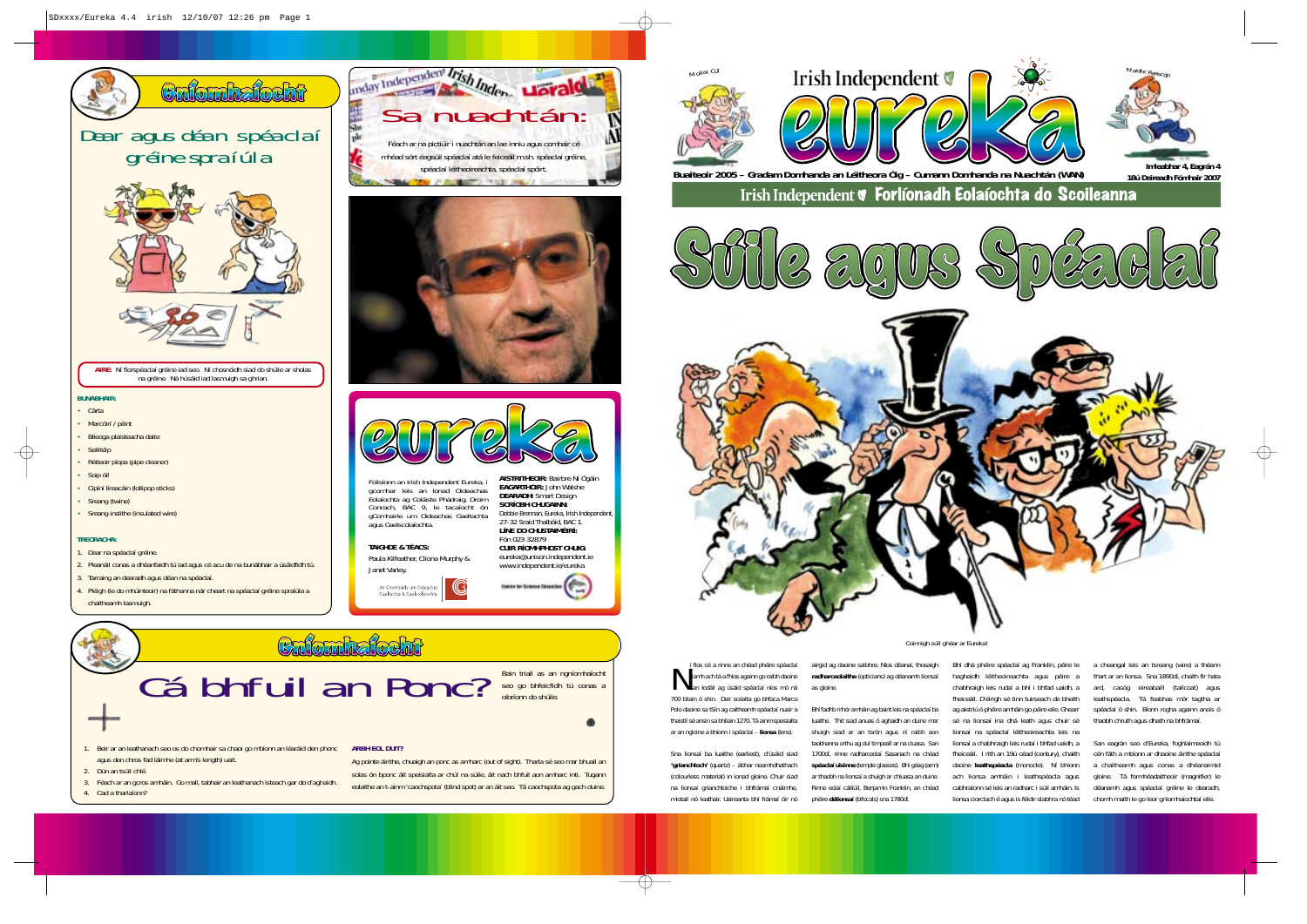### Dear agus déan spéaclaí gréine spraíúla



### **BUNÁBHAIR:**

- Cárta
- Marcóirí / péint
- Bileoga plaisteacha daite
- Seilitéip
- Réiteoir píopa (pipe cleaner)
- Soip óil
- Cipíní líreacáin (lollipop sticks)
- Sreang (twine)
- Sreang inslithe (insulated wire)

#### **TREORACHA:**

- 1. Dear na spéaclaí gréine.
- 2. Pleanáil conas a dhéanfaidh tú iad agus cé acu de na bunábhair a úsáidfidh tú.
- 3. Tarraing an dearadh agus déan na spéaclaí.
- 4. Pléigh (le do mhúinteoir) na fáthanna nár cheart na spéaclaí gréine spraíúla a chaitheamh lasmuigh.

*Coinnigh súil ghéar ar Eureka!*

**AIRE:** Ní fíorspéaclaí gréine iad seo. Ní chosnóidh siad do shúile ar sholas na gréine. Ná húsáid iad lasmuigh sa ghrian.

> Crionhaíocht Cá bhfuil an Ponc?Bain triail as an ngníomhaíocht

seo go bhfeicfidh tú conas a oibríonn do shúile.

- 1. Beir ar an leathanach seo os do chomhair sa chaoi go mbíonn an léaráid den phonc agus den chros fad láimhe (at arm's length) uait. **ARBH EOL DUIT?**
- 2. Dún an tsúil chlé.
- 3. Féach ar an gcros amháin. Go mall, tabhair an leathanach isteach gar do d'aghaidh. 4. Cad a tharlaíonn?



If fios cé a rinne an chéad phéire spéaclaí riamh ach tá a fhios againn go raibh daoine san Iodáil ag úsáid spéaclaí níos mó ná 700 bliain ó shin. Deir scéalta go bhfaca Marco Polo daoine sa tSín ag caitheamh spéaclaí nuair a thaistil sé ansin sa bhliain 1270. Tá ainm speisialta ar an ngloine a bhíonn i spéaclaí – **lionsa** (lens).

airgid ag daoine saibhre. Níos déanaí, thosaigh **radharceolaithe** (opticians) ag déanamh lionsaí as gloine.







### **TAIGHDE & TÉACS:**



**AISTRITHEOIR:** Bairbre Ní Ógáin **EAGARTHÓIR:** John Walshe **DEARADH:** Smart Design **SCRÍOBH CHUGAINN:**



 Debbie Brennan, Eureka, Irish Independent, 27-32 Sraid Thalbóid, BAC 1. **LÍNE DO CHUSTAIMÉIRÍ:**Fón 023 32879

Foilsíonn an Irish Independent Eureka, i gcomhar leis an Ionad Oideachas Eolaíochta ag Coláiste Phádraig, Droim Conrach, BÁC 9, le tacaíocht ón gComhairle um Oideachas Gaeltachta agus Gaelscolaíochta.





Sna lionsaí ba luaithe (earliest), d'úsáid siad **'grianchloch'** (quartz) – ábhar neamhdhathach (colourless material) in ionad gloine. Chuir siad na lionsaí grianchloiche i bhfrámaí cnáimhe, miotail nó leathair. Uaireanta bhí frámaí óir nó

Bhí fadhb mhór amháin ag baint leis na spéaclaí ba luaithe. Thit siad anuas ó aghaidh an duine mar shuigh siad ar an tsrón agus ní raibh aon taobhanna orthu ag dul timpeall ar na cluasa. San 1700dí, rinne radharceolaí Sasanach na chéad **spéaclaí uisinne** (temple glasses). Bhí géag (arm) ar thaobh na lionsaí a shuigh ar chluasa an duine. Rinne eolaí cáiliúil, Benjamin Franklin, an chéad phéire **délionsaí** (bifocals) sna 1780dí.

Bhí dhá phéire spéaclaí ag Franklin, péire le haghaidh léitheoireachta agus péire a chabhraigh leis rudaí a bhí i bhfad uaidh, <sup>a</sup> fheiceáil. D'éirigh sé tinn tuirseach de bheith ag aistriú ó phéire amháin go péire eile. Ghearr sé na lionsaí ina dhá leath agus chuir sé lionsaí na spéaclaí léitheoireachta leis na fheiceáil. I rith an 19ú céad (century), chaith daoine **leathspéacla** (monocle). Ní bhíonn ach lionsa amháin i leathspéacla agus cabhraíonn sé leis an radharc i súil amháin. Is lionsa ciorclach é agus is féidir slabhra nó téad

lionsaí a chabhraigh leis rudaí i bhfad uaidh, <sup>a</sup> San eagrán seo d'Eureka, foghlaimeoidh tú cén fáth a mbíonn ar dhaoine áirithe spéaclaí a chaitheamh agus conas a dhéanaimid gloine. Tá formhéadaitheoir (magnifier) le déanamh agus spéaclaí gréine le dearadh, chomh maith le go leor gníomhaíochtaí eile.

a cheangal leis an tsreang (wire) a théann thart ar an lionsa. Sna 1890dí, chaith fir hata ard, casóg eireabaill (tailcoat) agus leathspéacla. Tá feabhas mór tagtha ar spéaclaí ó shin. Bíonn rogha againn anois ó thaobh chruth agus dhath na bhfrámaí.



**Enfombatocht**